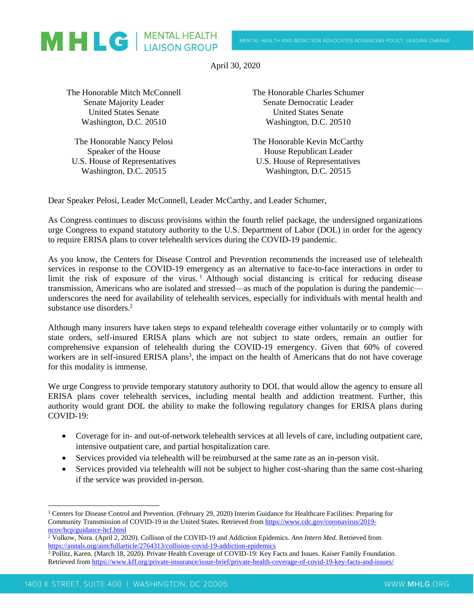

April 30, 2020

The Honorable Mitch McConnell Senate Majority Leader United States Senate Washington, D.C. 20510

The Honorable Nancy Pelosi Speaker of the House U.S. House of Representatives Washington, D.C. 20515

The Honorable Charles Schumer Senate Democratic Leader United States Senate Washington, D.C. 20510

The Honorable Kevin McCarthy House Republican Leader U.S. House of Representatives Washington, D.C. 20515

Dear Speaker Pelosi, Leader McConnell, Leader McCarthy, and Leader Schumer,

As Congress continues to discuss provisions within the fourth relief package, the undersigned organizations urge Congress to expand statutory authority to the U.S. Department of Labor (DOL) in order for the agency to require ERISA plans to cover telehealth services during the COVID-19 pandemic.

As you know, the Centers for Disease Control and Prevention recommends the increased use of telehealth services in response to the COVID-19 emergency as an alternative to face-to-face interactions in order to limit the risk of exposure of the virus.<sup>1</sup> Although social distancing is critical for reducing disease transmission, Americans who are isolated and stressed—as much of the population is during the pandemic underscores the need for availability of telehealth services, especially for individuals with mental health and substance use disorders.<sup>2</sup>

Although many insurers have taken steps to expand telehealth coverage either voluntarily or to comply with state orders, self-insured ERISA plans which are not subject to state orders, remain an outlier for comprehensive expansion of telehealth during the COVID-19 emergency. Given that 60% of covered workers are in self-insured ERISA plans<sup>3</sup>, the impact on the health of Americans that do not have coverage for this modality is immense.

We urge Congress to provide temporary statutory authority to DOL that would allow the agency to ensure all ERISA plans cover telehealth services, including mental health and addiction treatment. Further, this authority would grant DOL the ability to make the following regulatory changes for ERISA plans during COVID-19:

- Coverage for in- and out-of-network telehealth services at all levels of care, including outpatient care, intensive outpatient care, and partial hospitalization care.
- Services provided via telehealth will be reimbursed at the same rate as an in-person visit.
- Services provided via telehealth will not be subject to higher cost-sharing than the same cost-sharing if the service was provided in-person.

<sup>1</sup> Centers for Disease Control and Prevention. (February 29, 2020) Interim Guidance for Healthcare Facilities: Preparing for Community Transmission of COVID-19 in the United States. Retrieved fro[m https://www.cdc.gov/coronavirus/2019](https://www.cdc.gov/coronavirus/2019-ncov/hcp/guidance-hcf.html) [ncov/hcp/guidance-hcf.html](https://www.cdc.gov/coronavirus/2019-ncov/hcp/guidance-hcf.html)

<sup>2</sup> Volkow, Nora. (April 2, 2020). Collison of the COVID-19 and Addiction Epidemics. *Ann Intern Med.* Retrieved from <https://annals.org/aim/fullarticle/2764313/collision-covid-19-addiction-epidemics>

<sup>3</sup> Pollitz, Karen. (March 18, 2020). Private Health Coverage of COVID-19: Key Facts and Issues. Kaiser Family Foundation. Retrieved from<https://www.kff.org/private-insurance/issue-brief/private-health-coverage-of-covid-19-key-facts-and-issues/>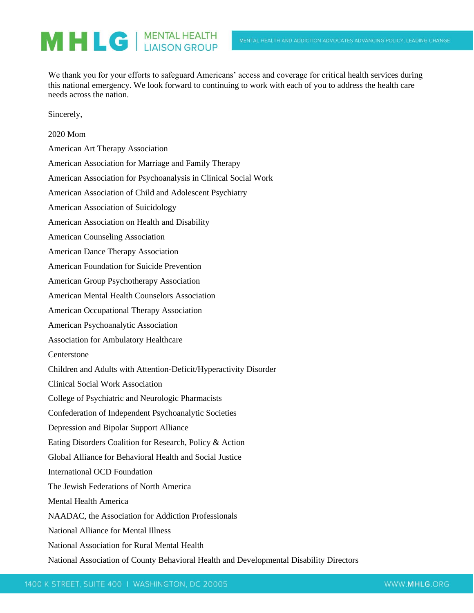## MHLG | MENTAL HEALTH

We thank you for your efforts to safeguard Americans' access and coverage for critical health services during this national emergency. We look forward to continuing to work with each of you to address the health care needs across the nation.

Sincerely,

| 2020 Mom                                                                                |
|-----------------------------------------------------------------------------------------|
| American Art Therapy Association                                                        |
| American Association for Marriage and Family Therapy                                    |
| American Association for Psychoanalysis in Clinical Social Work                         |
| American Association of Child and Adolescent Psychiatry                                 |
| American Association of Suicidology                                                     |
| American Association on Health and Disability                                           |
| <b>American Counseling Association</b>                                                  |
| <b>American Dance Therapy Association</b>                                               |
| American Foundation for Suicide Prevention                                              |
| American Group Psychotherapy Association                                                |
| American Mental Health Counselors Association                                           |
| American Occupational Therapy Association                                               |
| American Psychoanalytic Association                                                     |
| <b>Association for Ambulatory Healthcare</b>                                            |
| Centerstone                                                                             |
| Children and Adults with Attention-Deficit/Hyperactivity Disorder                       |
| <b>Clinical Social Work Association</b>                                                 |
| College of Psychiatric and Neurologic Pharmacists                                       |
| Confederation of Independent Psychoanalytic Societies                                   |
| Depression and Bipolar Support Alliance                                                 |
| Eating Disorders Coalition for Research, Policy & Action                                |
| Global Alliance for Behavioral Health and Social Justice                                |
| International OCD Foundation                                                            |
| The Jewish Federations of North America                                                 |
| <b>Mental Health America</b>                                                            |
| NAADAC, the Association for Addiction Professionals                                     |
| <b>National Alliance for Mental Illness</b>                                             |
| National Association for Rural Mental Health                                            |
| National Association of County Behavioral Health and Developmental Disability Directors |